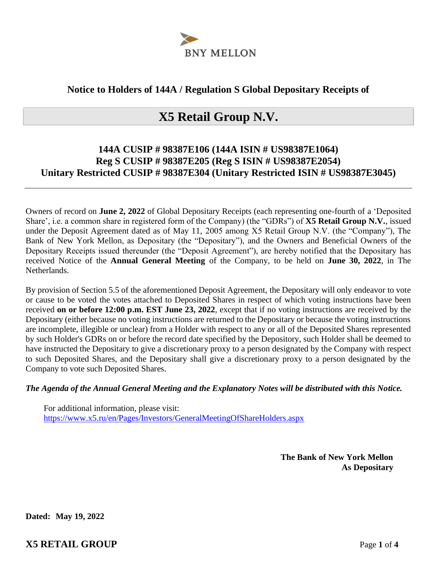

#### **Notice to Holders of 144A / Regulation S Global Depositary Receipts of**

# **X5 Retail Group N.V.**

### **144A CUSIP # 98387E106 (144A ISIN # US98387E1064) Reg S CUSIP # 98387E205 (Reg S ISIN # US98387E2054) Unitary Restricted CUSIP # 98387E304 (Unitary Restricted ISIN # US98387E3045)**

Owners of record on **June 2, 2022** of Global Depositary Receipts (each representing one-fourth of a 'Deposited Share', i.e. a common share in registered form of the Company) (the "GDRs") of **X5 Retail Group N.V.**, issued under the Deposit Agreement dated as of May 11, 2005 among X5 Retail Group N.V. (the "Company"), The Bank of New York Mellon, as Depositary (the "Depositary"), and the Owners and Beneficial Owners of the Depositary Receipts issued thereunder (the "Deposit Agreement"), are hereby notified that the Depositary has received Notice of the **Annual General Meeting** of the Company, to be held on **June 30, 2022**, in The Netherlands.

By provision of Section 5.5 of the aforementioned Deposit Agreement, the Depositary will only endeavor to vote or cause to be voted the votes attached to Deposited Shares in respect of which voting instructions have been received **on or before 12:00 p.m. EST June 23, 2022**, except that if no voting instructions are received by the Depositary (either because no voting instructions are returned to the Depositary or because the voting instructions are incomplete, illegible or unclear) from a Holder with respect to any or all of the Deposited Shares represented by such Holder's GDRs on or before the record date specified by the Depository, such Holder shall be deemed to have instructed the Depositary to give a discretionary proxy to a person designated by the Company with respect to such Deposited Shares, and the Depositary shall give a discretionary proxy to a person designated by the Company to vote such Deposited Shares.

#### *The Agenda of the Annual General Meeting and the Explanatory Notes will be distributed with this Notice.*

For additional information, please visit: https://www.x5.ru/en/Pages/Investors/GeneralMeetingOfShareHolders.aspx

> **The Bank of New York Mellon As Depositary**

**Dated: May 19, 2022**

**X5 RETAIL GROUP** Page **1** of **4**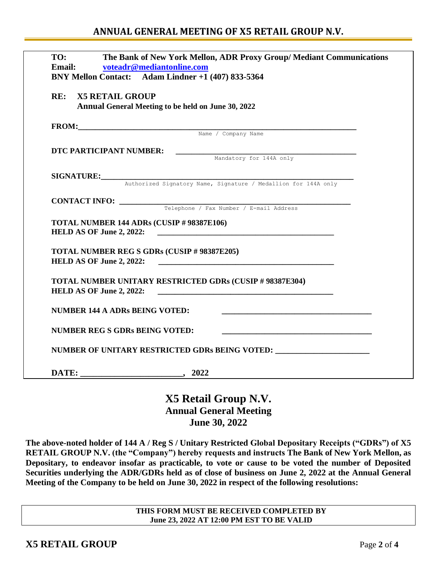| TO:<br>Email:                         | The Bank of New York Mellon, ADR Proxy Group/ Mediant Communications<br>voteadr@mediantonline.com<br>BNY Mellon Contact: Adam Lindner +1 (407) 833-5364 |
|---------------------------------------|---------------------------------------------------------------------------------------------------------------------------------------------------------|
| RE:<br><b>X5 RETAIL GROUP</b>         | Annual General Meeting to be held on June 30, 2022                                                                                                      |
|                                       | FROM: Name / Company Name                                                                                                                               |
|                                       |                                                                                                                                                         |
| DTC PARTICIPANT NUMBER:               | Mandatory for 144A only                                                                                                                                 |
|                                       |                                                                                                                                                         |
|                                       |                                                                                                                                                         |
|                                       | SIGNATURE: Authorized Signatory Name, Signature / Medallion for 144A only                                                                               |
|                                       |                                                                                                                                                         |
|                                       | <b>CONTACT INFO:</b> Telephone / Fax Number / E-mail Address                                                                                            |
| <b>HELD AS OF June 2, 2022:</b>       | TOTAL NUMBER 144 ADRs (CUSIP # 98387E106)<br>TOTAL NUMBER REG S GDRs (CUSIP # 98387E205)                                                                |
| HELD AS OF June 2, 2022:              | <b>TOTAL NUMBER UNITARY RESTRICTED GDRs (CUSIP # 98387E304)</b>                                                                                         |
| NUMBER 144 A ADRs BEING VOTED:        | <u> 1989 - Johann Stein, marwolaethau a bhann an t-Amhair an t-Amhair an t-Amhair an t-Amhair an t-Amhair an t-A</u>                                    |
| <b>NUMBER REG S GDRs BEING VOTED:</b> |                                                                                                                                                         |
|                                       | NUMBER OF UNITARY RESTRICTED GDRs BEING VOTED: __________________________________                                                                       |
|                                       |                                                                                                                                                         |

**X5 Retail Group N.V. Annual General Meeting June 30, 2022**

**The above-noted holder of 144 A / Reg S / Unitary Restricted Global Depositary Receipts ("GDRs") of X5 RETAIL GROUP N.V. (the "Company") hereby requests and instructs The Bank of New York Mellon, as Depositary, to endeavor insofar as practicable, to vote or cause to be voted the number of Deposited Securities underlying the ADR/GDRs held as of close of business on June 2, 2022 at the Annual General Meeting of the Company to be held on June 30, 2022 in respect of the following resolutions:** 

> **THIS FORM MUST BE RECEIVED COMPLETED BY June 23, 2022 AT 12:00 PM EST TO BE VALID**

**X5 RETAIL GROUP** Page **2** of **4**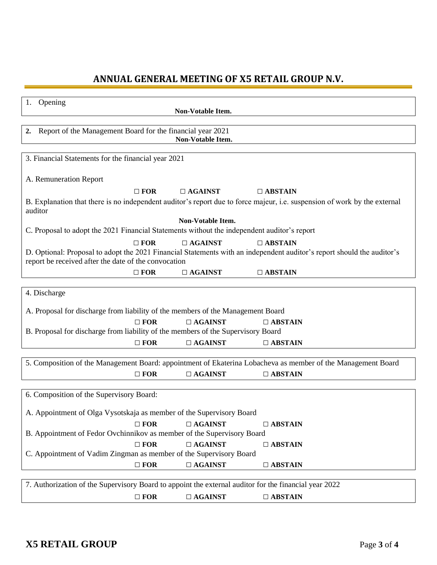## **ANNUAL GENERAL MEETING OF X5 RETAIL GROUP N.V.**

| 1.<br>Opening                                                                                                                                                                  | Non-Votable Item. |                |  |  |  |  |
|--------------------------------------------------------------------------------------------------------------------------------------------------------------------------------|-------------------|----------------|--|--|--|--|
|                                                                                                                                                                                |                   |                |  |  |  |  |
| Report of the Management Board for the financial year 2021<br>2.<br>Non-Votable Item.                                                                                          |                   |                |  |  |  |  |
|                                                                                                                                                                                |                   |                |  |  |  |  |
| 3. Financial Statements for the financial year 2021                                                                                                                            |                   |                |  |  |  |  |
| A. Remuneration Report                                                                                                                                                         |                   |                |  |  |  |  |
| $\Box$ FOR                                                                                                                                                                     | $\Box$ AGAINST    | $\Box$ ABSTAIN |  |  |  |  |
| B. Explanation that there is no independent auditor's report due to force majeur, i.e. suspension of work by the external<br>auditor                                           |                   |                |  |  |  |  |
|                                                                                                                                                                                | Non-Votable Item. |                |  |  |  |  |
| C. Proposal to adopt the 2021 Financial Statements without the independent auditor's report                                                                                    |                   |                |  |  |  |  |
| $\Box$ FOR                                                                                                                                                                     | $\Box$ AGAINST    | $\Box$ ABSTAIN |  |  |  |  |
| D. Optional: Proposal to adopt the 2021 Financial Statements with an independent auditor's report should the auditor's<br>report be received after the date of the convocation |                   |                |  |  |  |  |
| $\Box$ FOR                                                                                                                                                                     | $\Box$ AGAINST    | $\Box$ ABSTAIN |  |  |  |  |
|                                                                                                                                                                                |                   |                |  |  |  |  |
| 4. Discharge                                                                                                                                                                   |                   |                |  |  |  |  |
| A. Proposal for discharge from liability of the members of the Management Board                                                                                                |                   |                |  |  |  |  |
| $\Box$ FOR                                                                                                                                                                     | $\Box$ AGAINST    | $\Box$ ABSTAIN |  |  |  |  |
| B. Proposal for discharge from liability of the members of the Supervisory Board                                                                                               |                   |                |  |  |  |  |
| $\Box$ FOR                                                                                                                                                                     | $\Box$ AGAINST    | $\Box$ ABSTAIN |  |  |  |  |
|                                                                                                                                                                                |                   |                |  |  |  |  |
| 5. Composition of the Management Board: appointment of Ekaterina Lobacheva as member of the Management Board                                                                   |                   |                |  |  |  |  |
| $\Box$ FOR                                                                                                                                                                     | $\Box$ AGAINST    | $\Box$ ABSTAIN |  |  |  |  |
|                                                                                                                                                                                |                   |                |  |  |  |  |
| 6. Composition of the Supervisory Board:                                                                                                                                       |                   |                |  |  |  |  |
| A. Appointment of Olga Vysotskaja as member of the Supervisory Board                                                                                                           |                   |                |  |  |  |  |
| $\Box$ FOR                                                                                                                                                                     | $\Box$ AGAINST    | $\Box$ ABSTAIN |  |  |  |  |
| B. Appointment of Fedor Ovchinnikov as member of the Supervisory Board                                                                                                         |                   |                |  |  |  |  |
| $\Box$ FOR                                                                                                                                                                     | $\Box$ AGAINST    | $\Box$ ABSTAIN |  |  |  |  |
| C. Appointment of Vadim Zingman as member of the Supervisory Board                                                                                                             |                   |                |  |  |  |  |
| $\Box$ FOR                                                                                                                                                                     | $\Box$ AGAINST    | $\Box$ ABSTAIN |  |  |  |  |
|                                                                                                                                                                                |                   |                |  |  |  |  |
| 7. Authorization of the Supervisory Board to appoint the external auditor for the financial year 2022                                                                          |                   |                |  |  |  |  |
| $\Box$ FOR                                                                                                                                                                     | $\Box$ AGAINST    | $\Box$ ABSTAIN |  |  |  |  |